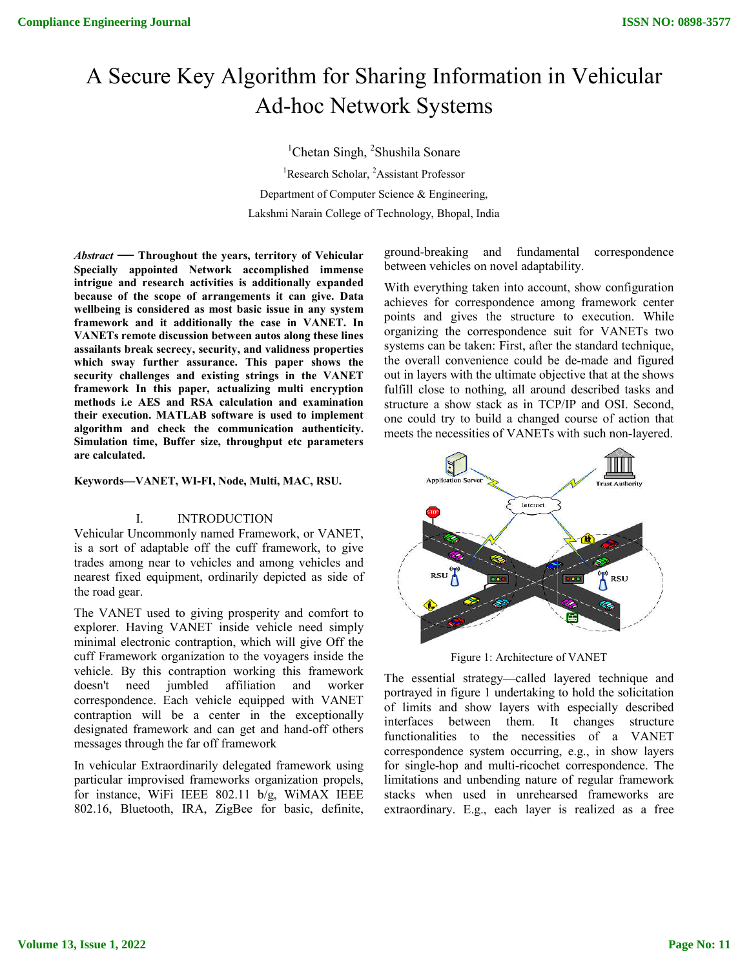# A Secure Key Algorithm for Sharing Information in Vehicular Ad-hoc Network Systems<br><sup>1</sup>Cheter <sup>Singh</sub> <sup>2</sup>Shushila Sonara</sup>

<sup>1</sup>Chetan Singh, <sup>2</sup>Shushila Sonare <sup>1</sup>Research Scholar, <sup>2</sup>Assistant Professor Department of Computer Science & Engineering, Lakshmi Narain College of Technology, Bhopal, India

*Abstract* **— Throughout the years, territory of Vehicular Specially appointed Network accomplished immense intrigue and research activities is additionally expanded because of the scope of arrangements it can give. Data wellbeing is considered as most basic issue in any system framework and it additionally the case in VANET. In VANETs remote discussion between autos along these lines assailants break secrecy, security, and validness properties**  Specially appointed Network accomplished immense<br>intrigue and research activities is additionally expanded<br>because of the scope of arrangements it can give. Data<br>wellbeing is considered as most basic issue in any system<br>fr **security challenges and existing strings in the VANET framework In this paper, actualizing multi encryption methods i.e AES and RSA calculation and examination their execution. MATLAB software is used to implement algorithm and check the communication authenticity. Simulation time, Buffer size, throughput etc parameters are calculated.**  and RSA calculation and examin<br>ATLAB software is used to imple<br>neck the communication authent<br>Buffer size, throughput etc param<br>T, WI-FI, Node, Multi, MAC, RSU

**Keywords—VANET, WI-FI, Node, Multi, MAC, RSU.**

# I. INTRODUCTION

Vehicular Uncommonly named Framework, or VANET, is a sort of adaptable off the cuff framework, to give trades among near to vehicles and among vehicles and nearest fixed equipment, ordinarily depicted as side of the road gear.

The VANET used to giving prosperity and comfort to explorer. Having VANET inside vehicle need simply minimal electronic contraption, which will give Off the cuff Framework organization to the voyagers inside the vehicle. By this contraption working this framework doesn't need jumbled affiliation and worker correspondence. Each vehicle equipped with VANET contraption will be a center in the exceptionally designated framework and can get and hand-off others messages through the far off framework adaptable off the cuff framework, to give<br>
give the currel controller and<br>
equipment, ordinarily depicted as side of<br>
used to giving prosperity and comfort to<br>
ving VANET inside vehicle need simply<br>
tronic contraption, whi

In vehicular Extraordinarily delegated framework using particular improvised frameworks organization propels, for instance, WiFi IEEE 802.11 b/g, WiMAX IEEE 802.16, Bluetooth, IRA, ZigBee for basic, definite,

between vehicles on novel adaptability.

With everything taken into account, show configuration achieves for correspondence among framework center points and gives the structure to execution. While organizing the correspondence suit for VANETs two systems can be taken: First, after the standard technique, the overall convenience could be de de-made and figured out in layers with the ultimate objective that at the shows fulfill close to nothing, all around described tasks and structure a show stack as in TCP/IP and OSI. Second, one could try to build a changed course of action that meets the necessities of VANETs with such non-layered. Fing Information in Vehicular<br>
Systems<br>
hushila Sonare<br>
sistant Professor<br>
cience & Engineering,<br>
echnology, Bhopal, India<br>
ground-breaking and fundamental correspondence<br>
between vehicles on novel adaptability.<br>
With ever out in layers with the ultimate objective that at the shows<br>fulfill close to nothing, all around described tasks and<br>structure a show stack as in TCP/IP and OSI. Second,<br>one could try to build a changed course of action th



Figure 1: Architecture of VANET VANET

The essential strategy—called layered technique and portrayed in figure 1 undertaking to hold the solicitation of limits and show layers with especially described interfaces between them. It changes structure functionalities to the necessities of a VANET correspondence system occurring, e.g., in show layers for single-hop and multi-ricochet correspondence. The limitations and unbending nature of regular framework stacks when used in unrehearsed frameworks are extraordinary. E.g., each layer is realized as a free The essential strategy—called layered technique and<br>portrayed in figure 1 undertaking to hold the solicitation<br>of limits and show layers with especially described<br>interfaces between them. It changes structure<br>functionaliti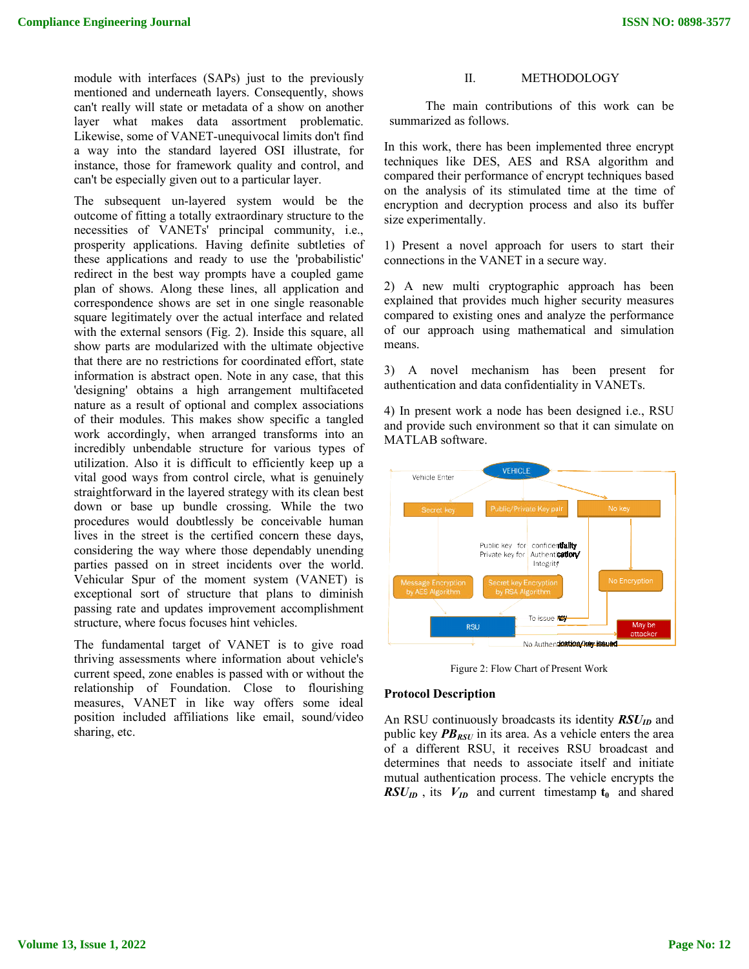module with interfaces (SAPs) just to the previously mentioned and underneath layers. Consequently, shows can't really will state or metadata of a show on another layer what makes data assortment problematic. module with interfaces (SAPs) just to the previously<br>mentioned and underneath layers. Consequently, shows<br>can't really will state or metadata of a show on another<br>layer what makes data assortment problematic.<br>Likewise, som a way into the standard layered OSI illustrate, for

instance, those for framework quality and control, and

can't be especially given out to a particular layer.

The subsequent un-layered system would be the outcome of fitting a totally extraordinary structure to the necessities of VANETs' principal community, i.e., prosperity applications. Having definite subtleties of these applications and ready to use the 'probabilistic' redirect in the best way prompts have a coupled game plan of shows. Along these lines, all application and correspondence shows are set in one single reasonable square legitimately over the actual interface and related with the external sensors (Fig. 2). Inside this square, all show parts are modularized with the ultimate obj that there are no restrictions for coordinated effort, state information is abstract open. Note in any case, that this 'designing' obtains a high arrangement multifaceted nature as a result of optional and complex associations of their modules. This makes show specific a tangled work accordingly, when arranged transforms into an incredibly unbendable structure for various types of utilization. Also it is difficult to efficiently keep up a vital good ways from control circle, what is genuinely straightforward in the layered strategy with its clean best down or base up bundle crossing. While the two procedures would doubtlessly be conceivable human lives in the street is the certified concern these days, considering the way where those dependably unendi parties passed on in street incidents over the world. Vehicular Spur of the moment system (VANET) is exceptional sort of structure that plans to diminish passing rate and updates improvement accomplishment structure, where focus focuses hint vehicles. way into the standard layered OSI illustrate, for<br>tance, those for framework quality and control, and<br>a't be especially given out to a particular layer.<br>e subsequent un-layered system would be the<br>tecome of fitting a total that there are no restrictions for coordinated effort, state information is abstract open. Note in any case, that this 'designing' obtains a high arrangement multifaceted nature as a result of optional and complex associat If interfaces (SAPs) just to the previously interfaces and the production of this word momentum of a show on mothem. The main contributions of this word momentum of VANET invariant of a show on momentum of the studential

The fundamental target of VANET is to give road thriving assessments where information about vehicle's current speed, zone enables is passed with or without the relationship of Foundation. Close to flourishing measures, VANET in like way offers some ideal position included affiliations like email, sound/video sharing, etc.

The main contributions of this work can be summarized as follows. The main contributions of this work can be<br>summarized as follows.<br>In this work, there has been implemented three encrypt

techniques like DES, AES and RSA algorithm and compared their performance of encrypt techniques based on the analysis of its stimulated time at the time of encryption and decryption process and also its buffer size experimentally.

1) Present a novel approach for users to start their connections in the VANET in a secure way.

2) A new multi cryptographic approach has been explained that provides much higher security measures compared to existing ones and analyze the performance of our approach using mathematical and simulation means. compared their performance of encrypt techniques based<br>on the analysis of its stimulated time at the time of<br>encryption and decryption process and also its buffer<br>size experimentally.<br>1) Present a novel approach for users

3) A novel mechanism has been authentication and data confidentiality in VANETs.

4) In present work a node has been designed i.e., RSU and provide such environment so that it can simulate on MATLAB software.



Figure 2: Flow Chart of Present Work

# **Protocol Description**

An RSU continuously broadcasts its identity  $RSU<sub>ID</sub>$  and public key  $PB_{RSU}$  in its area. As a vehicle enters the area public key  $PB_{RSU}$  in its area. As a vehicle enters the area of a different RSU, it receives RSU broadcast and determines that needs to associate itself and initiate mutual authentication process. The vehicle encrypts the  $RSU_{ID}$ , its  $V_{ID}$  and current timestamp  $t_0$  and shared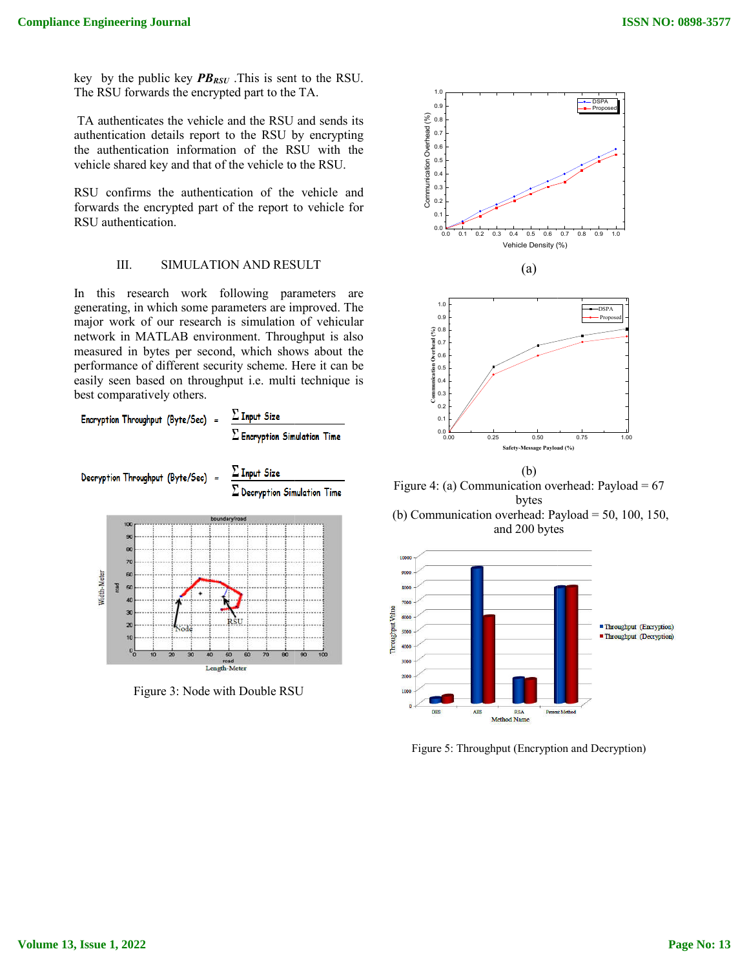key by the public key  $PB_{RSU}$ . This is sent to the RSU. The RSU forwards the encrypted part to the TA.

TA authenticates the vehicle and the RSU and sends its authentication details report to the RSU by encrypting the authentication information of the RSU with the vehicle shared key and that of the vehicle to the RSU.

RSU confirms the authentication of the vehicle and forwards the encrypted part of the report to vehicle for RSU authentication.

# III. SIMULATION AND RESULT

In this research work following parameters are generating, in which some parameters are improved. The major work of our research is simulation of vehicular network in MATLAB environment. Throughput is also measured in bytes per second, which shows about the performance of different security scheme. Here it can be easily seen based on throughput i.e. multi technique is best comparatively others. TA authenticates the vehicle and the RSU and authentication details report to the RSU by the authentication information of the RSU vehicle shared key and that of the vehicle to the RSU confirms the authentication of the ve

|                     | ш.<br>SIMULATION AND RESULT                                                                                                                                                                                                                                                                                                                                                                                                     | (a)                                                                            |
|---------------------|---------------------------------------------------------------------------------------------------------------------------------------------------------------------------------------------------------------------------------------------------------------------------------------------------------------------------------------------------------------------------------------------------------------------------------|--------------------------------------------------------------------------------|
| n                   | this research work following parameters<br>are<br>enerating, in which some parameters are improved. The<br>najor work of our research is simulation of vehicular<br>etwork in MATLAB environment. Throughput is also<br>neasured in bytes per second, which shows about the<br>berformance of different security scheme. Here it can be<br>asily seen based on throughput i.e. multi technique is<br>best comparatively others. | 1.0<br>0.9<br>(a)<br>Communication Overhead<br>Communication O.6<br>0.3<br>0.3 |
|                     | $\Sigma$ Input Size<br>Encryption Throughput (Byte/Sec)                                                                                                                                                                                                                                                                                                                                                                         | 0.2<br>0.1                                                                     |
|                     | $\Sigma$ Encryption Simulation Time                                                                                                                                                                                                                                                                                                                                                                                             | 0.0<br>0.25<br>0.00<br>n<br>Safety-Messa                                       |
|                     | $\Sigma$ Input Size<br>Decryption Throughput (Byte/Sec)<br>$\Sigma$ Decryption Simulation Time                                                                                                                                                                                                                                                                                                                                  | (b)<br>Figure 4: (a) Communication<br>byte                                     |
|                     | boundary/road<br>100                                                                                                                                                                                                                                                                                                                                                                                                            | (b) Communication overhead                                                     |
| Width-Meter<br>road | 90<br>80<br>70<br>60<br>50<br>40<br>30<br>20<br>10                                                                                                                                                                                                                                                                                                                                                                              | and $200$<br>10000<br>9000<br>8000<br>7000<br>Throughput Value<br>6000<br>5000 |
|                     | $\mathbf{0}_0$<br>100<br>10<br>30<br>60<br>70<br>90<br>40<br>50<br>80<br>20<br>beor                                                                                                                                                                                                                                                                                                                                             | 4000<br>3000                                                                   |
|                     | <b>Length-Meter</b>                                                                                                                                                                                                                                                                                                                                                                                                             |                                                                                |
|                     | Figure 3: Node with Double RSU                                                                                                                                                                                                                                                                                                                                                                                                  | 2000                                                                           |

Figure 3: Node with Double RSU



Figure 4: (a) Communication overhead: Payload =  $67$ bytes

(b) Communication overhead: Payload = 50, 100, 150, and 200 bytes



Figure 5: Throughput (Encryption and Decryption)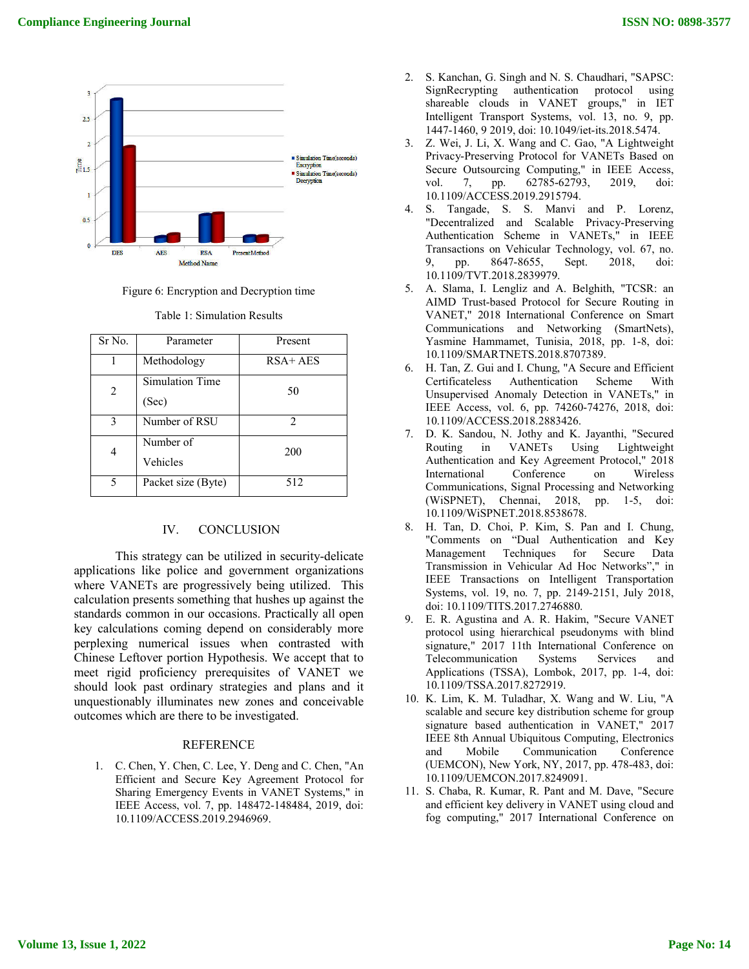

Figure 6: Encryption and Decryption time

| Sr No. | Parameter                       | Present     |
|--------|---------------------------------|-------------|
| 1      | Methodology                     | $RSA + AES$ |
| 2      | <b>Simulation Time</b><br>(Sec) | 50          |
| 3      | Number of RSU                   | 2           |
| 4      | Number of<br>Vehicles           | 200         |
| 5      | Packet size (Byte)              | 512         |
|        |                                 |             |

Table 1: Simulation Results

## IV. CONCLUSION

This strategy can be utilized in security-delicate applications like police and government organizations where VANETs are progressively being utilized. This calculation presents something that hushes up against the standards common in our occasions. Practically all open key calculations coming depend on considerably more perplexing numerical issues when contrasted with key calculations coming depend on considerably more<br>perplexing numerical issues when contrasted with<br>Chinese Leftover portion Hypothesis. We accept that to meet rigid proficiency prerequisites of VANET we should look past ordinary strategies and plans and it unquestionably illuminates new zones and conceivable outcomes which are there to be investigated. should look past ordinary strategies and plans and it<br>unquestionably illuminates new zones and conceivable<br>outcomes which are there to be investigated.<br>REFERENCE<br>1. C. Chen, Y. Chen, C. Lee, Y. Deng and C. Chen, "An

### **REFERENCE**

1. C. Chen, Y. Chen, C. Lee, Y. Deng and C. Chen, "An Efficient and Secure Key Agreement Protocol for Sharing Emergency Events in VANET Systems," in IEEE Access, vol. 7, pp. 148472-148484, 2019, doi: 10.1109/ACCESS.2019.2946969.

- SignRecrypting authentication protocol using shareable clouds in VANET groups," in IET Intelligent Transport Systems, vol. 13, no. 9, pp. 1447-1460, 9 2019, doi: 10.1049/iet-its.2018.5474. nchan, G. Singh and N. S. Chaudhari, "SAPSC:<br>lecrypting authentication protocol using<br>able clouds in VANET groups," in IET<br>gent Transport Systems, vol. 13, no. 9, pp.<br>1460, 9 2019, doi: 10.1049/iet-its.2018.5474.
- 3. Z. Wei, J. Li, X. Wang and C. Gao, "A Lightweight Z. Wei, J. Li, X. Wang and C. Gao, "A Lightweight<br>Privacy-Preserving Protocol for VANETs Based on Secure Outsourcing Computing," in IEEE Access, vol. 7, pp. 62785-62793, 2019, doi: vol. 7, pp. 62785-62793, 10.1109/ACCESS.2019.2915794.
- 4. S. Tangade, S. S. Manvi and P. Lorenz, S. Tangade, S. S. Manvi and P. Lorenz,<br>"Decentralized and Scalable Privacy-Preserving Authentication Scheme in VANETs," in IEEE Transactions on Vehicular Technology, vol. 67, no. 9, pp. 8647-8655, Sept. 2018, doi: 10.1109/TVT.2018.2839979.
- 5. A. Slama, I. Lengliz and A. Belghith, "TCSR: an AIMD Trust-based Protocol for Secure Routing in VANET," 2018 International Conference on Smart Communications and Networking (SmartNets), Yasmine Hammamet, Tunisia, 2018, pp. 1-8, doi: 10.1109/SMARTNETS.2018.8707389. ication Scheme in VANETs," in IEEE<br>tions on Vehicular Technology, vol. 67, no.<br>p. 8647-8655, Sept. 2018, doi:<br>//TVT.2018.2839979.<br>na, I. Lengliz and A. Belghith, "TCSR: an<br>Trust-based Protocol for Secure Routing in<br>r," 201
- 6. H. Tan, Z. Gui and I. Chung, "A Secure and Efficient Certificateless Authentication Scheme With Unsupervised Anomaly Detection in VANETs," in H. Tan, Z. Gui and I. Chung, "A Secure and Efficient<br>Certificateless Authentication Scheme With<br>Unsupervised Anomaly Detection in VANETs," in<br>IEEE Access, vol. 6, pp. 74260-74276, 2018, doi: 10.1109/ACCESS.2018.2883426.
- 7. D. K. Sandou, N. Jothy and K. Jayanthi, "Secured in VANETs Using Lightweight Authentication and Key Agreement Protocol," 2018 International Conference on Wireless Communications, Signal Processing and Networking (WiSPNET), Chennai, 2018, pp. 1 10.1109/WiSPNET.2018.8538678. ndou, N. Jothy and K. Jayanthi, "Secured<br>
in VANETs Using Lightweight<br>
ation and Key Agreement Protocol," 2018<br>
nal Conference on Wireless<br>
cations, Signal Processing and Networking<br>
T), Chennai, 2018, pp. 1-5, doi: **ISSN NO: 0898-3577**<br>
G. Singh and N. S. Chaudhari, "SAPSC:<br>
gra autherication protocol using<br>
orotas in VANET groups," in IET<br>
ransport Systems, vol. 13, no. 9, pp.<br>
2019, doi: 10.1049/iet-its.2018.5474.<br>
F. X. Wang and C
- 8. H. Tan, D. Choi, P. Kim, S. Pan and I. Chung, "Comments on "Dual Authentication and Key Management Techniques for Secure Data Transmission in Vehicular Ad Hoc Networks"," in IEEE Transactions on Intelligent Transportation Systems, vol. 19, no. 7, pp. 2149-2151, July 2018, doi: 10.1109/TITS.2017.2746880. D. Choi, P. Kim, S. Pan and I. Chung,<br>ts on "Dual Authentication and Key<br>ent Techniques for Secure Data<br>ion in Vehicular Ad Hoc Networks"," in<br>ansactions on Intelligent Transportation<br>vol. 19, no. 7, pp. 2149-2151, July 20
- 9. E. R. Agustina and A. R. Hakim, "Secure VANET protocol using hierarchical pseudonyms with blind signature," 2017 11th International Conference on Telecommunication Systems Services and Applications (TSSA), Lombok, 2017, pp. 1-4, doi: 10.1109/TSSA.2017.8272919. E. R. Agustina and A. R. Hakim, "Secure VANET<br>protocol using hierarchical pseudonyms with blind<br>signature," 2017 11th International Conference on<br>Telecommunication Systems Services and<br>Applications (TSSA), Lombok, 2017, pp
- 10. K. Lim, K. M. Tuladhar, X. Wang and W. Liu, "A K. Lim, K. M. Tuladhar, X. Wang and W. Liu, "A<br>scalable and secure key distribution scheme for group signature based authentication in VANET," 2017 IEEE 8th Annual Ubiquitous Computing, Electronics and Mobile Communication Conference (UEMCON), New York, NY, 2017, pp. 478-483, doi: 10.1109/UEMCON.2017.8249091. ure based authentication in VANET," 2017<br>8th Annual Ubiquitous Computing, Electronics<br>Mobile Communication Conference<br>CON), New York, NY, 2017, pp. 478-483, doi:
- 11. S. Chaba, R. Kumar, R. Pant and M. Dave, "Secure and efficient key delivery in VANET using cloud and fog computing," 2017 International Conference on